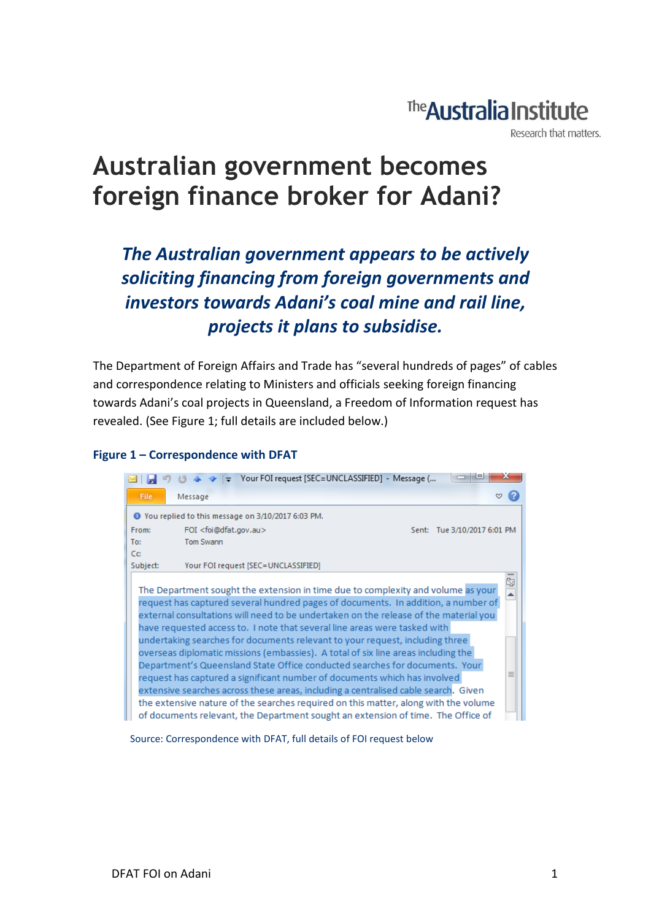### The **Australia Institute**

Research that matters.

### **Australian government becomes foreign finance broker for Adani?**

*The Australian government appears to be actively soliciting financing from foreign governments and investors towards Adani's coal mine and rail line, projects it plans to subsidise.*

The Department of Foreign Affairs and Trade has "several hundreds of pages" of cables and correspondence relating to Ministers and officials seeking foreign financing towards Adani's coal projects in Queensland, a Freedom of Information request has revealed. (See Figure 1; full details are included below.)

#### **Figure 1 – Correspondence with DFAT**



Source: Correspondence with DFAT, full details of FOI request below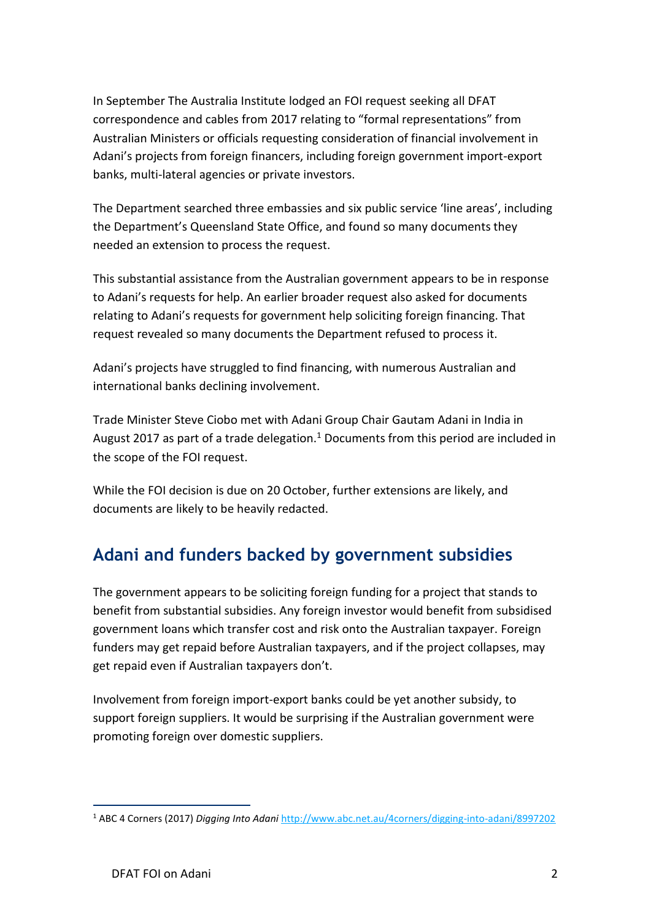In September The Australia Institute lodged an FOI request seeking all DFAT correspondence and cables from 2017 relating to "formal representations" from Australian Ministers or officials requesting consideration of financial involvement in Adani's projects from foreign financers, including foreign government import-export banks, multi-lateral agencies or private investors.

The Department searched three embassies and six public service 'line areas', including the Department's Queensland State Office, and found so many documents they needed an extension to process the request.

This substantial assistance from the Australian government appears to be in response to Adani's requests for help. An earlier broader request also asked for documents relating to Adani's requests for government help soliciting foreign financing. That request revealed so many documents the Department refused to process it.

Adani's projects have struggled to find financing, with numerous Australian and international banks declining involvement.

Trade Minister Steve Ciobo met with Adani Group Chair Gautam Adani in India in August 2017 as part of a trade delegation.<sup>1</sup> Documents from this period are included in the scope of the FOI request.

While the FOI decision is due on 20 October, further extensions are likely, and documents are likely to be heavily redacted.

### **Adani and funders backed by government subsidies**

The government appears to be soliciting foreign funding for a project that stands to benefit from substantial subsidies. Any foreign investor would benefit from subsidised government loans which transfer cost and risk onto the Australian taxpayer. Foreign funders may get repaid before Australian taxpayers, and if the project collapses, may get repaid even if Australian taxpayers don't.

Involvement from foreign import-export banks could be yet another subsidy, to support foreign suppliers. It would be surprising if the Australian government were promoting foreign over domestic suppliers.

1

<sup>1</sup> ABC 4 Corners (2017) *Digging Into Adani* <http://www.abc.net.au/4corners/digging-into-adani/8997202>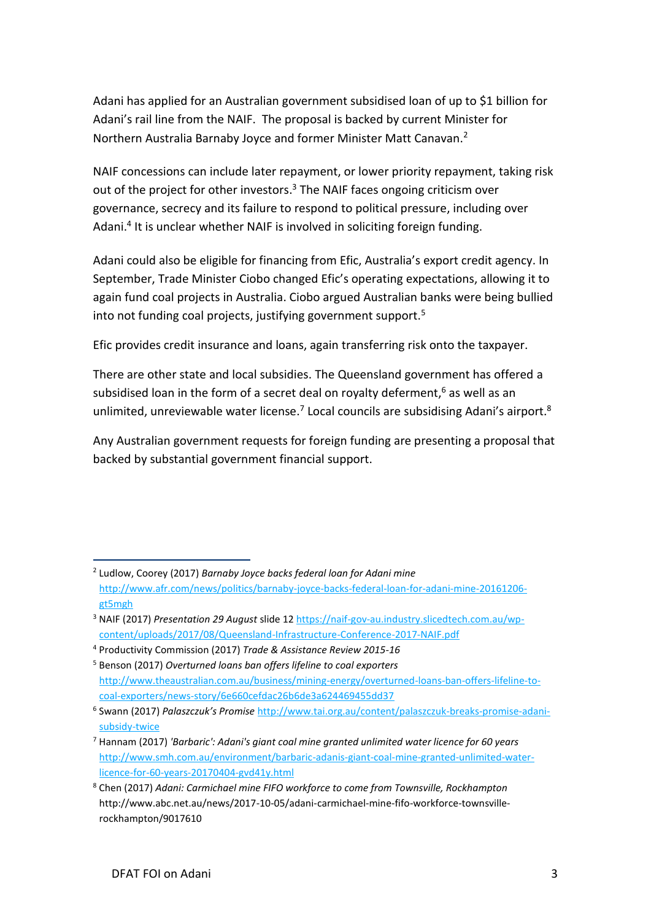Adani has applied for an Australian government subsidised loan of up to \$1 billion for Adani's rail line from the NAIF. The proposal is backed by current Minister for Northern Australia Barnaby Joyce and former Minister Matt Canavan.<sup>2</sup>

NAIF concessions can include later repayment, or lower priority repayment, taking risk out of the project for other investors.<sup>3</sup> The NAIF faces ongoing criticism over governance, secrecy and its failure to respond to political pressure, including over Adani.<sup>4</sup> It is unclear whether NAIF is involved in soliciting foreign funding.

Adani could also be eligible for financing from Efic, Australia's export credit agency. In September, Trade Minister Ciobo changed Efic's operating expectations, allowing it to again fund coal projects in Australia. Ciobo argued Australian banks were being bullied into not funding coal projects, justifying government support.<sup>5</sup>

Efic provides credit insurance and loans, again transferring risk onto the taxpayer.

There are other state and local subsidies. The Queensland government has offered a subsidised loan in the form of a secret deal on royalty deferment,<sup>6</sup> as well as an unlimited, unreviewable water license.<sup>7</sup> Local councils are subsidising Adani's airport.<sup>8</sup>

Any Australian government requests for foreign funding are presenting a proposal that backed by substantial government financial support.

<sup>1</sup> 2 Ludlow, Coorey (2017) *Barnaby Joyce backs federal loan for Adani mine* [http://www.afr.com/news/politics/barnaby-joyce-backs-federal-loan-for-adani-mine-20161206](http://www.afr.com/news/politics/barnaby-joyce-backs-federal-loan-for-adani-mine-20161206-gt5mgh) [gt5mgh](http://www.afr.com/news/politics/barnaby-joyce-backs-federal-loan-for-adani-mine-20161206-gt5mgh)

<sup>3</sup> NAIF (2017) *Presentation 29 August* slide 12 [https://naif-gov-au.industry.slicedtech.com.au/wp](https://naif-gov-au.industry.slicedtech.com.au/wp-content/uploads/2017/08/Queensland-Infrastructure-Conference-2017-NAIF.pdf)[content/uploads/2017/08/Queensland-Infrastructure-Conference-2017-NAIF.pdf](https://naif-gov-au.industry.slicedtech.com.au/wp-content/uploads/2017/08/Queensland-Infrastructure-Conference-2017-NAIF.pdf)

<sup>4</sup> Productivity Commission (2017) *Trade & Assistance Review 2015-16*

<sup>5</sup> Benson (2017) *Overturned loans ban offers lifeline to coal exporters* [http://www.theaustralian.com.au/business/mining-energy/overturned-loans-ban-offers-lifeline-to](http://www.theaustralian.com.au/business/mining-energy/overturned-loans-ban-offers-lifeline-to-coal-exporters/news-story/6e660cefdac26b6de3a624469455dd37)[coal-exporters/news-story/6e660cefdac26b6de3a624469455dd37](http://www.theaustralian.com.au/business/mining-energy/overturned-loans-ban-offers-lifeline-to-coal-exporters/news-story/6e660cefdac26b6de3a624469455dd37)

<sup>6</sup> Swann (2017) *Palaszczuk's Promise* [http://www.tai.org.au/content/palaszczuk-breaks-promise-adani](http://www.tai.org.au/content/palaszczuk-breaks-promise-adani-subsidy-twice)[subsidy-twice](http://www.tai.org.au/content/palaszczuk-breaks-promise-adani-subsidy-twice)

<sup>7</sup> Hannam (2017) *'Barbaric': Adani's giant coal mine granted unlimited water licence for 60 years* [http://www.smh.com.au/environment/barbaric-adanis-giant-coal-mine-granted-unlimited-water](http://www.smh.com.au/environment/barbaric-adanis-giant-coal-mine-granted-unlimited-water-licence-for-60-years-20170404-gvd41y.html)[licence-for-60-years-20170404-gvd41y.html](http://www.smh.com.au/environment/barbaric-adanis-giant-coal-mine-granted-unlimited-water-licence-for-60-years-20170404-gvd41y.html)

<sup>8</sup> Chen (2017) *Adani: Carmichael mine FIFO workforce to come from Townsville, Rockhampton* http://www.abc.net.au/news/2017-10-05/adani-carmichael-mine-fifo-workforce-townsvillerockhampton/9017610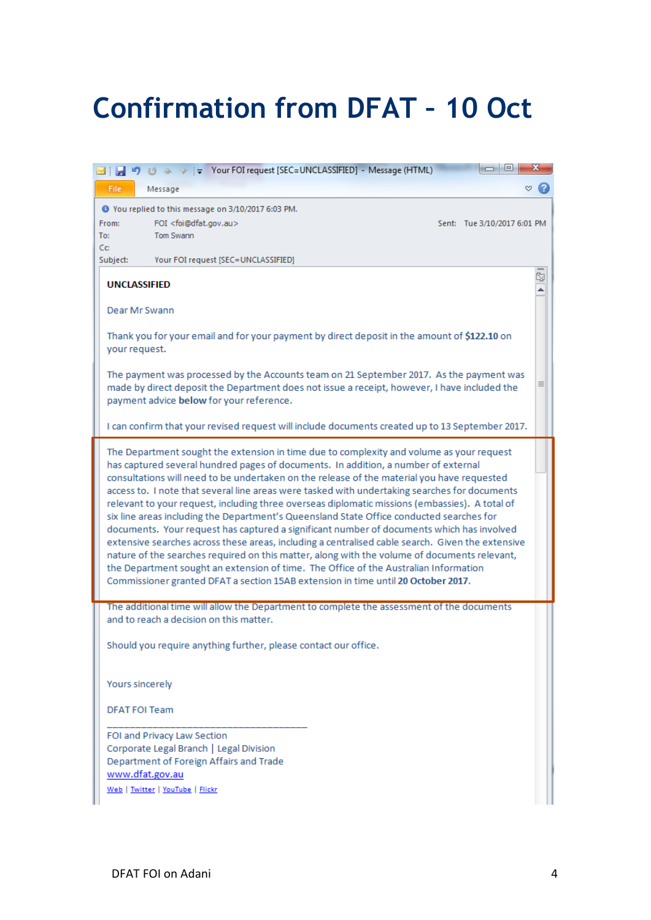# **Confirmation from DFAT - 10 Oct**

| → →   → Your FOI request [SEC=UNCLASSIFIED] - Message (HTML)                                                                                                                                                                                                                                                                                                                                                                                                                                                                                                                                                                                                                                                                                                                                                                                                                                                                                                                                                                                              | <b>10 C</b><br>х            |  |
|-----------------------------------------------------------------------------------------------------------------------------------------------------------------------------------------------------------------------------------------------------------------------------------------------------------------------------------------------------------------------------------------------------------------------------------------------------------------------------------------------------------------------------------------------------------------------------------------------------------------------------------------------------------------------------------------------------------------------------------------------------------------------------------------------------------------------------------------------------------------------------------------------------------------------------------------------------------------------------------------------------------------------------------------------------------|-----------------------------|--|
| File<br>Message                                                                                                                                                                                                                                                                                                                                                                                                                                                                                                                                                                                                                                                                                                                                                                                                                                                                                                                                                                                                                                           | ∾                           |  |
| O You replied to this message on 3/10/2017 6:03 PM.<br>FOI <foi@dfat.gov.au><br/>From:<br/>Tom Swann<br/>To:<br/>Cc:</foi@dfat.gov.au>                                                                                                                                                                                                                                                                                                                                                                                                                                                                                                                                                                                                                                                                                                                                                                                                                                                                                                                    | Sent: Tue 3/10/2017 6:01 PM |  |
| Your FOI request [SEC=UNCLASSIFIED]<br>Subject:                                                                                                                                                                                                                                                                                                                                                                                                                                                                                                                                                                                                                                                                                                                                                                                                                                                                                                                                                                                                           |                             |  |
| <b>UNCLASSIFIED</b>                                                                                                                                                                                                                                                                                                                                                                                                                                                                                                                                                                                                                                                                                                                                                                                                                                                                                                                                                                                                                                       | ¢,                          |  |
| Dear Mr Swann                                                                                                                                                                                                                                                                                                                                                                                                                                                                                                                                                                                                                                                                                                                                                                                                                                                                                                                                                                                                                                             |                             |  |
| Thank you for your email and for your payment by direct deposit in the amount of \$122.10 on<br>your request.                                                                                                                                                                                                                                                                                                                                                                                                                                                                                                                                                                                                                                                                                                                                                                                                                                                                                                                                             |                             |  |
| The payment was processed by the Accounts team on 21 September 2017. As the payment was<br>≣<br>made by direct deposit the Department does not issue a receipt, however, I have included the<br>payment advice below for your reference.                                                                                                                                                                                                                                                                                                                                                                                                                                                                                                                                                                                                                                                                                                                                                                                                                  |                             |  |
| I can confirm that your revised request will include documents created up to 13 September 2017.                                                                                                                                                                                                                                                                                                                                                                                                                                                                                                                                                                                                                                                                                                                                                                                                                                                                                                                                                           |                             |  |
| The Department sought the extension in time due to complexity and volume as your request<br>has captured several hundred pages of documents. In addition, a number of external<br>consultations will need to be undertaken on the release of the material you have requested<br>access to. I note that several line areas were tasked with undertaking searches for documents<br>relevant to your request, including three overseas diplomatic missions (embassies). A total of<br>six line areas including the Department's Queensland State Office conducted searches for<br>documents. Your request has captured a significant number of documents which has involved<br>extensive searches across these areas, including a centralised cable search. Given the extensive<br>nature of the searches required on this matter, along with the volume of documents relevant,<br>the Department sought an extension of time. The Office of the Australian Information<br>Commissioner granted DFAT a section 15AB extension in time until 20 October 2017. |                             |  |
| The additional time will allow the Department to complete the assessment of the documents<br>and to reach a decision on this matter.                                                                                                                                                                                                                                                                                                                                                                                                                                                                                                                                                                                                                                                                                                                                                                                                                                                                                                                      |                             |  |
| Should you require anything further, please contact our office.                                                                                                                                                                                                                                                                                                                                                                                                                                                                                                                                                                                                                                                                                                                                                                                                                                                                                                                                                                                           |                             |  |
| Yours sincerely                                                                                                                                                                                                                                                                                                                                                                                                                                                                                                                                                                                                                                                                                                                                                                                                                                                                                                                                                                                                                                           |                             |  |
| <b>DFAT FOI Team</b>                                                                                                                                                                                                                                                                                                                                                                                                                                                                                                                                                                                                                                                                                                                                                                                                                                                                                                                                                                                                                                      |                             |  |
| FOI and Privacy Law Section<br>Corporate Legal Branch   Legal Division<br>Department of Foreign Affairs and Trade<br>www.dfat.gov.au                                                                                                                                                                                                                                                                                                                                                                                                                                                                                                                                                                                                                                                                                                                                                                                                                                                                                                                      |                             |  |
| Web   Twitter   YouTube   Flickr                                                                                                                                                                                                                                                                                                                                                                                                                                                                                                                                                                                                                                                                                                                                                                                                                                                                                                                                                                                                                          |                             |  |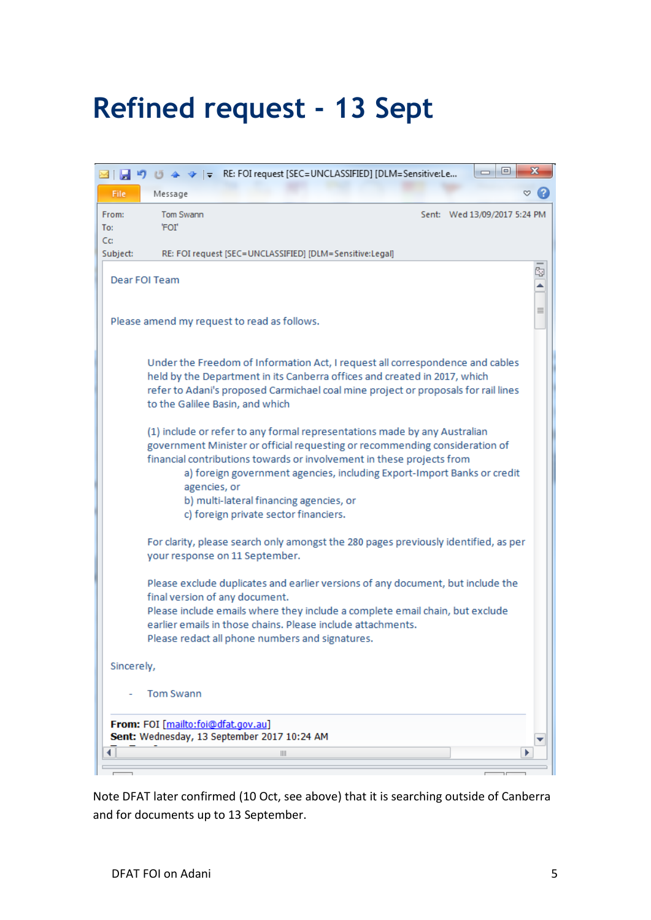# **Refined request - 13 Sept**

|                                                                                   | $\Box$<br>$\qquad \qquad \Box$                                                                                                                                                                                                                                                                                                                                                                                   | $\mathbf x$ |  |  |
|-----------------------------------------------------------------------------------|------------------------------------------------------------------------------------------------------------------------------------------------------------------------------------------------------------------------------------------------------------------------------------------------------------------------------------------------------------------------------------------------------------------|-------------|--|--|
| <b>File</b>                                                                       | Message                                                                                                                                                                                                                                                                                                                                                                                                          | ∾           |  |  |
| From:<br>To:                                                                      | Tom Swann<br>Sent: Wed 13/09/2017 5:24 PM<br>'FOI'                                                                                                                                                                                                                                                                                                                                                               |             |  |  |
| Cc:<br>Subject:                                                                   | RE: FOI request [SEC=UNCLASSIFIED] [DLM=Sensitive:Legal]                                                                                                                                                                                                                                                                                                                                                         |             |  |  |
|                                                                                   | Dear FOI Team                                                                                                                                                                                                                                                                                                                                                                                                    | Ŋ,<br>ė     |  |  |
|                                                                                   | Please amend my request to read as follows.                                                                                                                                                                                                                                                                                                                                                                      | ≣           |  |  |
|                                                                                   | Under the Freedom of Information Act, I request all correspondence and cables<br>held by the Department in its Canberra offices and created in 2017, which<br>refer to Adani's proposed Carmichael coal mine project or proposals for rail lines<br>to the Galilee Basin, and which                                                                                                                              |             |  |  |
|                                                                                   | (1) include or refer to any formal representations made by any Australian<br>government Minister or official requesting or recommending consideration of<br>financial contributions towards or involvement in these projects from<br>a) foreign government agencies, including Export-Import Banks or credit<br>agencies, or<br>b) multi-lateral financing agencies, or<br>c) foreign private sector financiers. |             |  |  |
|                                                                                   | For clarity, please search only amongst the 280 pages previously identified, as per<br>your response on 11 September.                                                                                                                                                                                                                                                                                            |             |  |  |
|                                                                                   | Please exclude duplicates and earlier versions of any document, but include the<br>final version of any document.<br>Please include emails where they include a complete email chain, but exclude<br>earlier emails in those chains. Please include attachments.<br>Please redact all phone numbers and signatures.                                                                                              |             |  |  |
| Sincerely,                                                                        |                                                                                                                                                                                                                                                                                                                                                                                                                  |             |  |  |
|                                                                                   | Tom Swann                                                                                                                                                                                                                                                                                                                                                                                                        |             |  |  |
| From: FOI [mailto:foi@dfat.gov.au]<br>Sent: Wednesday, 13 September 2017 10:24 AM |                                                                                                                                                                                                                                                                                                                                                                                                                  |             |  |  |
|                                                                                   | $\parallel \parallel \parallel$                                                                                                                                                                                                                                                                                                                                                                                  |             |  |  |
|                                                                                   |                                                                                                                                                                                                                                                                                                                                                                                                                  |             |  |  |

Note DFAT later confirmed (10 Oct, see above) that it is searching outside of Canberra and for documents up to 13 September.